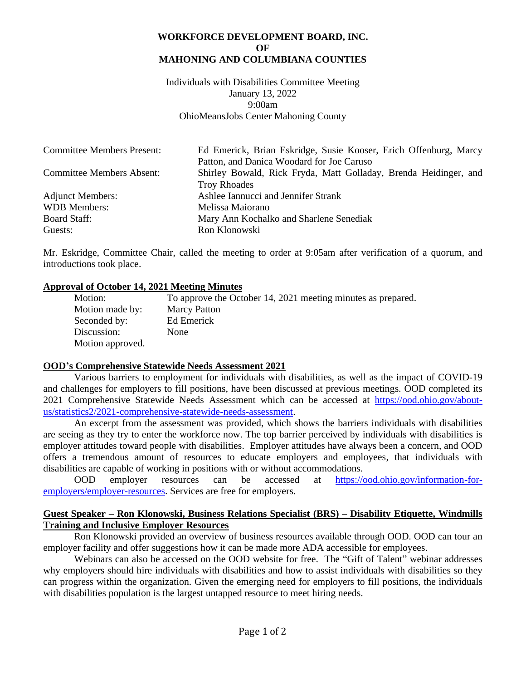### **WORKFORCE DEVELOPMENT BOARD, INC. OF MAHONING AND COLUMBIANA COUNTIES**

Individuals with Disabilities Committee Meeting January 13, 2022 9:00am OhioMeansJobs Center Mahoning County

| <b>Committee Members Present:</b> | Ed Emerick, Brian Eskridge, Susie Kooser, Erich Offenburg, Marcy |
|-----------------------------------|------------------------------------------------------------------|
|                                   | Patton, and Danica Woodard for Joe Caruso                        |
| <b>Committee Members Absent:</b>  | Shirley Bowald, Rick Fryda, Matt Golladay, Brenda Heidinger, and |
|                                   | <b>Troy Rhoades</b>                                              |
| <b>Adjunct Members:</b>           | Ashlee Iannucci and Jennifer Strank                              |
| <b>WDB</b> Members:               | Melissa Maiorano                                                 |
| <b>Board Staff:</b>               | Mary Ann Kochalko and Sharlene Senediak                          |
| Guests:                           | Ron Klonowski                                                    |

Mr. Eskridge, Committee Chair, called the meeting to order at 9:05am after verification of a quorum, and introductions took place.

# **Approval of October 14, 2021 Meeting Minutes**

Motion: To approve the October 14, 2021 meeting minutes as prepared. Motion made by: Marcy Patton Seconded by: Ed Emerick Discussion: None Motion approved.

#### **OOD's Comprehensive Statewide Needs Assessment 2021**

Various barriers to employment for individuals with disabilities, as well as the impact of COVID-19 and challenges for employers to fill positions, have been discussed at previous meetings. OOD completed its 2021 Comprehensive Statewide Needs Assessment which can be accessed at [https://ood.ohio.gov/about](https://ood.ohio.gov/about-us/statistics2/2021-comprehensive-statewide-needs-assessment)[us/statistics2/2021-comprehensive-statewide-needs-assessment.](https://ood.ohio.gov/about-us/statistics2/2021-comprehensive-statewide-needs-assessment)

An excerpt from the assessment was provided, which shows the barriers individuals with disabilities are seeing as they try to enter the workforce now. The top barrier perceived by individuals with disabilities is employer attitudes toward people with disabilities. Employer attitudes have always been a concern, and OOD offers a tremendous amount of resources to educate employers and employees, that individuals with disabilities are capable of working in positions with or without accommodations.

OOD employer resources can be accessed at [https://ood.ohio.gov/information-for](https://ood.ohio.gov/information-for-employers/employer-resources)[employers/employer-resources.](https://ood.ohio.gov/information-for-employers/employer-resources) Services are free for employers.

# **Guest Speaker – Ron Klonowski, Business Relations Specialist (BRS) – Disability Etiquette, Windmills Training and Inclusive Employer Resources**

Ron Klonowski provided an overview of business resources available through OOD. OOD can tour an employer facility and offer suggestions how it can be made more ADA accessible for employees.

Webinars can also be accessed on the OOD website for free. The "Gift of Talent" webinar addresses why employers should hire individuals with disabilities and how to assist individuals with disabilities so they can progress within the organization. Given the emerging need for employers to fill positions, the individuals with disabilities population is the largest untapped resource to meet hiring needs.